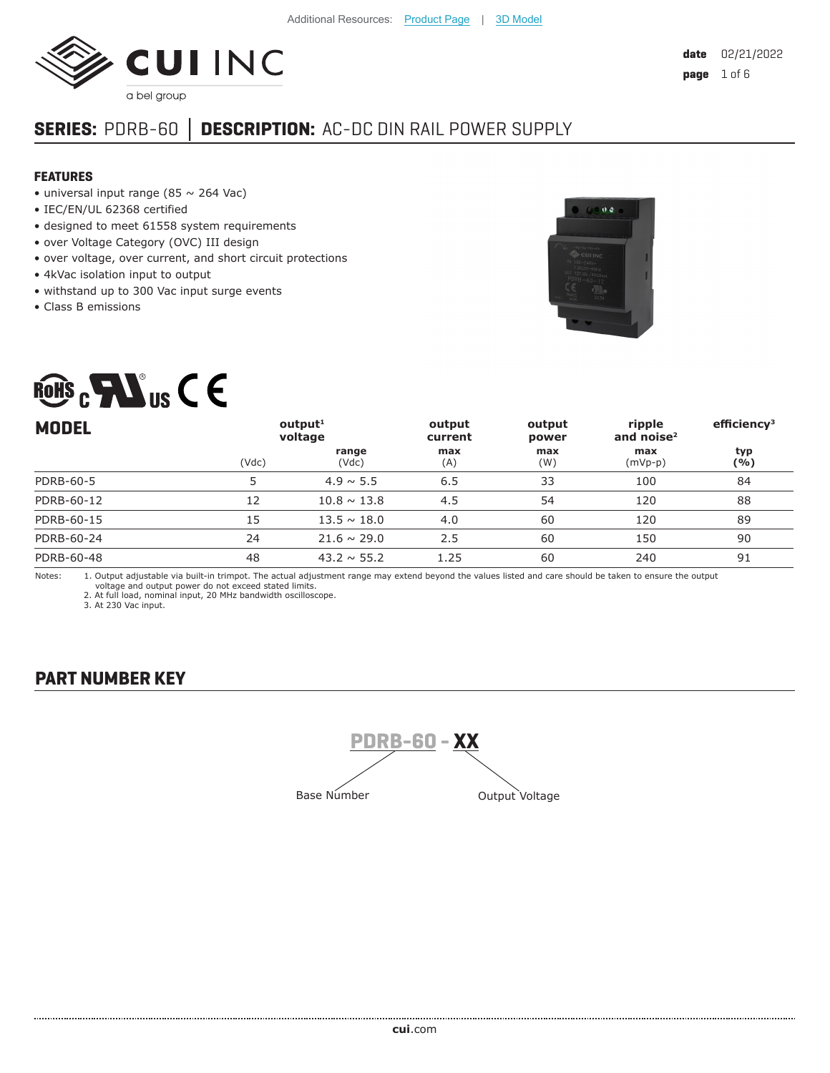

# **SERIES:** PDRB-60 **│ DESCRIPTION:** AC-DC DIN RAIL POWER SUPPLY

#### **FEATURES**

- universal input range (85  $\sim$  264 Vac)
- IEC/EN/UL 62368 certified
- designed to meet 61558 system requirements
- over Voltage Category (OVC) III design
- over voltage, over current, and short circuit protections
- 4kVac isolation input to output
- withstand up to 300 Vac input surge events
- Class B emissions





| <b>MODEL</b>     |       | output <sup>1</sup><br>voltage | output<br>current | output<br>power | ripple<br>and noise $2$ | efficiency <sup>3</sup> |
|------------------|-------|--------------------------------|-------------------|-----------------|-------------------------|-------------------------|
|                  | (Vdc) | range<br>(Vdc)                 | max<br>(A)        | max<br>(W)      | max<br>$(mVp-p)$        | typ<br>( %)             |
| <b>PDRB-60-5</b> |       | $4.9 \sim 5.5$                 | 6.5               | 33              | 100                     | 84                      |
| PDRB-60-12       | 12    | $10.8 \sim 13.8$               | 4.5               | 54              | 120                     | 88                      |
| PDRB-60-15       | 15    | $13.5 \sim 18.0$               | 4.0               | 60              | 120                     | 89                      |
| PDRB-60-24       | 24    | $21.6 \sim 29.0$               | 2.5               | 60              | 150                     | 90                      |
| PDRB-60-48       | 48    | $43.2 \sim 55.2$               | 1.25              | 60              | 240                     | 91                      |

Notes: 1. Output adjustable via built-in trimpot. The actual adjustment range may extend beyond the values listed and care should be taken to ensure the output voltage and output power do not exceed stated limits. 2. At full load, nominal input, 20 MHz bandwidth oscilloscope.

3. At 230 Vac input.

### **PART NUMBER KEY**

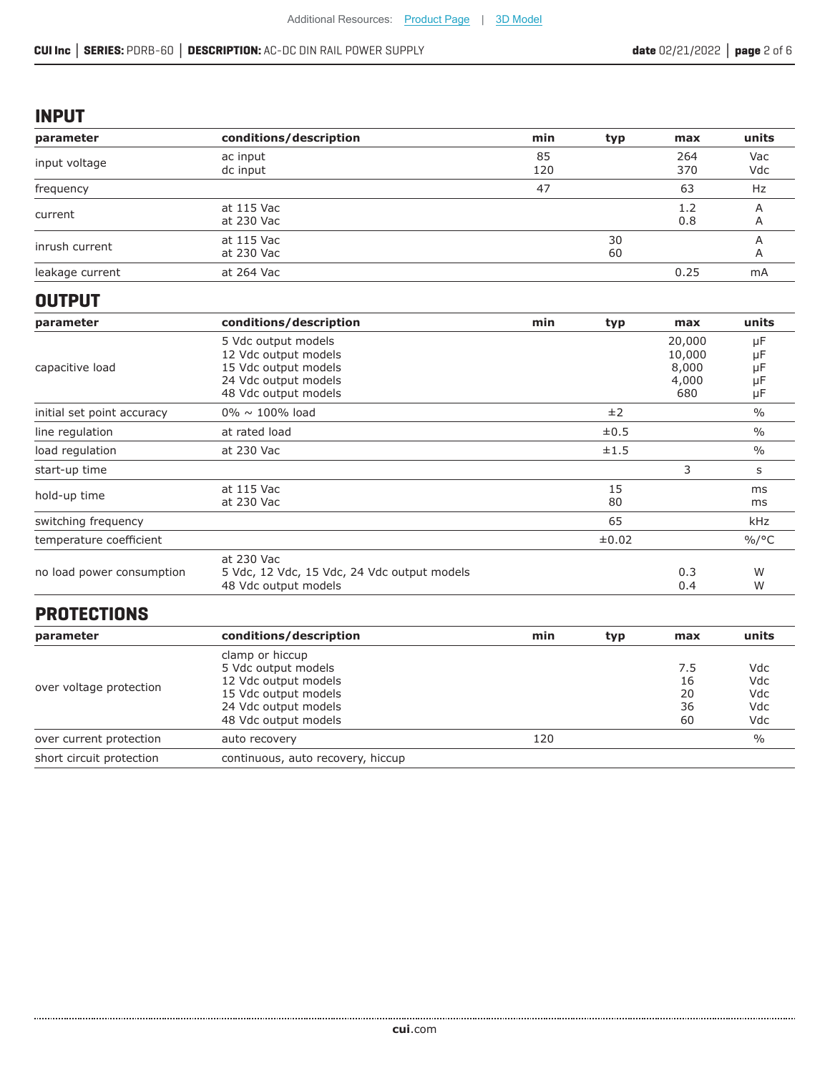#### **INPUT**

| parameter       | conditions/description   | min       | typ      | max        | units      |
|-----------------|--------------------------|-----------|----------|------------|------------|
| input voltage   | ac input<br>dc input     | 85<br>120 |          | 264<br>370 | Vac<br>Vdc |
| frequency       |                          | 47        |          | 63         | Hz         |
| current         | at 115 Vac<br>at 230 Vac |           |          | 1.2<br>0.8 | А<br>A     |
| inrush current  | at 115 Vac<br>at 230 Vac |           | 30<br>60 |            | A          |
| leakage current | at 264 Vac               |           |          | 0.25       | mA         |

### **OUTPUT**

| parameter                  | conditions/description                                                                                              | min | typ      | max                                       | units                      |
|----------------------------|---------------------------------------------------------------------------------------------------------------------|-----|----------|-------------------------------------------|----------------------------|
| capacitive load            | 5 Vdc output models<br>12 Vdc output models<br>15 Vdc output models<br>24 Vdc output models<br>48 Vdc output models |     |          | 20,000<br>10,000<br>8,000<br>4,000<br>680 | μF<br>μF<br>μF<br>μF<br>μF |
| initial set point accuracy | $0\% \sim 100\%$ load                                                                                               |     | ±2       |                                           | $\%$                       |
| line regulation            | at rated load                                                                                                       |     | ±0.5     |                                           | $\frac{0}{0}$              |
| load regulation            | at 230 Vac                                                                                                          |     | ±1.5     |                                           | $\frac{0}{0}$              |
| start-up time              |                                                                                                                     |     |          | 3                                         | s                          |
| hold-up time               | at 115 Vac<br>at 230 Vac                                                                                            |     | 15<br>80 |                                           | ms<br>ms                   |
| switching frequency        |                                                                                                                     |     | 65       |                                           | kHz                        |
| temperature coefficient    |                                                                                                                     |     | ±0.02    |                                           | $\%$ /°C                   |
| no load power consumption  | at 230 Vac<br>5 Vdc, 12 Vdc, 15 Vdc, 24 Vdc output models<br>48 Vdc output models                                   |     |          | 0.3<br>0.4                                | W<br>W                     |

## **PROTECTIONS**

| conditions/description            | min                 | typ | max | units         |
|-----------------------------------|---------------------|-----|-----|---------------|
| clamp or hiccup                   |                     |     |     |               |
|                                   |                     |     | 7.5 | Vdc           |
| 12 Vdc output models              |                     |     | 16  | Vdc           |
| 15 Vdc output models              |                     |     | 20  | Vdc           |
| 24 Vdc output models              |                     |     | 36  | Vdc           |
| 48 Vdc output models              |                     |     | 60  | Vdc           |
| auto recovery                     | 120                 |     |     | $\frac{0}{0}$ |
| continuous, auto recovery, hiccup |                     |     |     |               |
|                                   | 5 Vdc output models |     |     |               |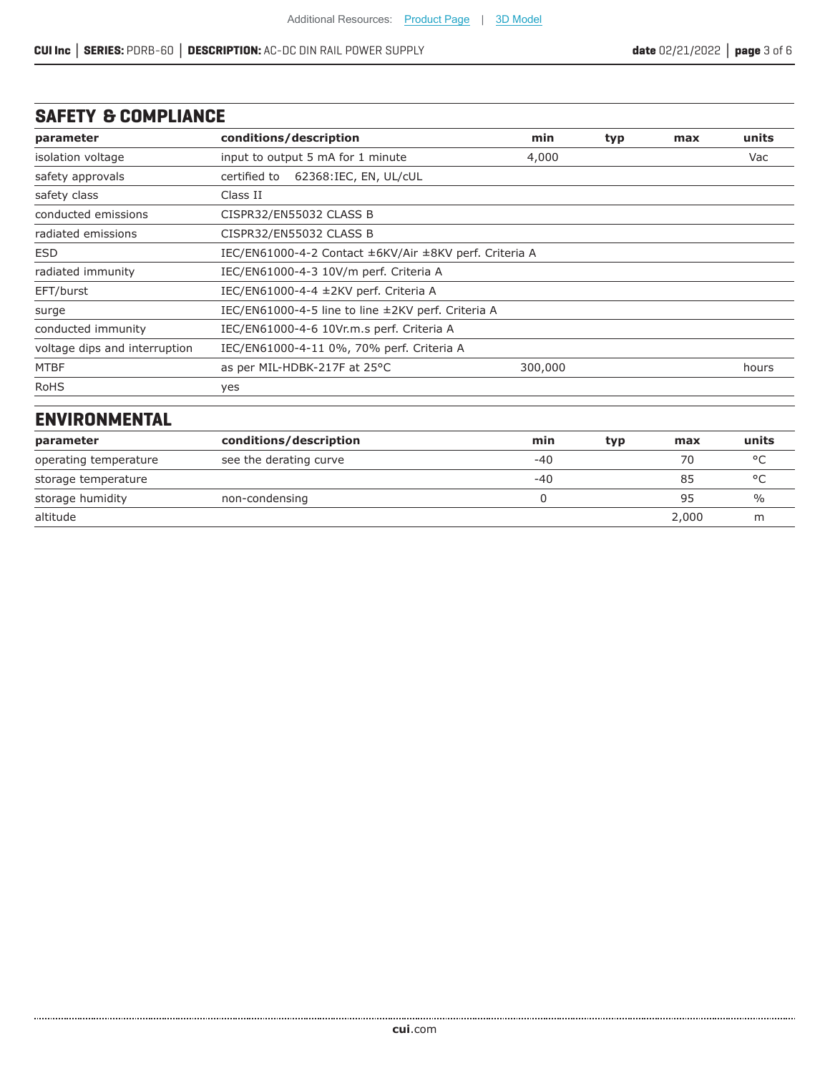### **SAFETY & COMPLIANCE**

| parameter                     | conditions/description                                 | min                                                | typ | max | units |
|-------------------------------|--------------------------------------------------------|----------------------------------------------------|-----|-----|-------|
| isolation voltage             | input to output 5 mA for 1 minute                      | 4,000                                              |     |     | Vac   |
| safety approvals              | 62368:IEC, EN, UL/cUL<br>certified to                  |                                                    |     |     |       |
| safety class                  | Class II                                               |                                                    |     |     |       |
| conducted emissions           | CISPR32/EN55032 CLASS B                                |                                                    |     |     |       |
| radiated emissions            | CISPR32/EN55032 CLASS B                                |                                                    |     |     |       |
| <b>ESD</b>                    | IEC/EN61000-4-2 Contact ±6KV/Air ±8KV perf. Criteria A |                                                    |     |     |       |
| radiated immunity             | IEC/EN61000-4-3 10V/m perf. Criteria A                 |                                                    |     |     |       |
| EFT/burst                     | IEC/EN61000-4-4 ±2KV perf. Criteria A                  |                                                    |     |     |       |
| surge                         |                                                        | IEC/EN61000-4-5 line to line ±2KV perf. Criteria A |     |     |       |
| conducted immunity            | IEC/EN61000-4-6 10Vr.m.s perf. Criteria A              |                                                    |     |     |       |
| voltage dips and interruption | IEC/EN61000-4-11 0%, 70% perf. Criteria A              |                                                    |     |     |       |
| <b>MTBF</b>                   | as per MIL-HDBK-217F at 25°C                           | 300,000                                            |     |     | hours |
| <b>RoHS</b>                   | yes                                                    |                                                    |     |     |       |
| <b>ENVIRONMENTAL</b>          |                                                        |                                                    |     |     |       |
| parameter                     | conditions/description                                 | min                                                | typ | max | units |

| parameter             | CONDITIONS/ DESCRIPTION | тшп | typ | шах   | unus          |
|-----------------------|-------------------------|-----|-----|-------|---------------|
| operating temperature | see the derating curve  | -40 |     | 70    | $\circ$       |
| storage temperature   |                         | -40 |     | 85    | $\circ$       |
| storage humidity      | non-condensing          |     |     | 95    | $\frac{1}{2}$ |
| altitude              |                         |     |     | 2,000 | m             |

.....................................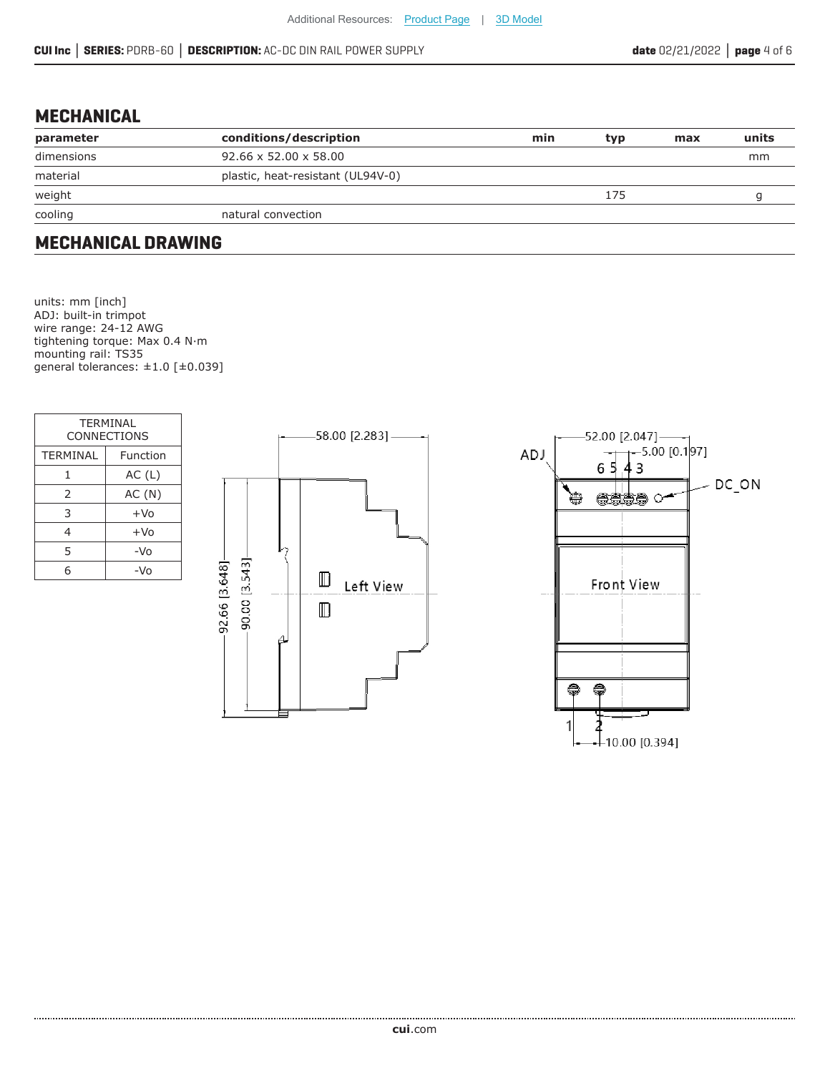### **MECHANICAL**

| parameter  | conditions/description            | min | typ | max | units |
|------------|-----------------------------------|-----|-----|-----|-------|
| dimensions | $92.66 \times 52.00 \times 58.00$ |     |     |     | mm    |
| material   | plastic, heat-resistant (UL94V-0) |     |     |     |       |
| weight     |                                   |     | 175 |     |       |
| cooling    | natural convection                |     |     |     |       |

### **MECHANICAL DRAWING**

units: mm [inch] ADJ: built-in trimpot wire range: 24-12 AWG tightening torque: Max 0.4 N·m mounting rail: TS35 general tolerances:  $\pm 1.0$  [ $\pm 0.039$ ]

| TFRMINAL<br><b>CONNECTIONS</b> |          |  |  |  |
|--------------------------------|----------|--|--|--|
| <b>TERMINAL</b>                | Function |  |  |  |
| 1                              | AC(L)    |  |  |  |
| 2                              | AC(N)    |  |  |  |
| 3                              | $+VO$    |  |  |  |
| 4                              | $+VO$    |  |  |  |
| 5                              | -Vo      |  |  |  |
| հ                              | −\/∩     |  |  |  |



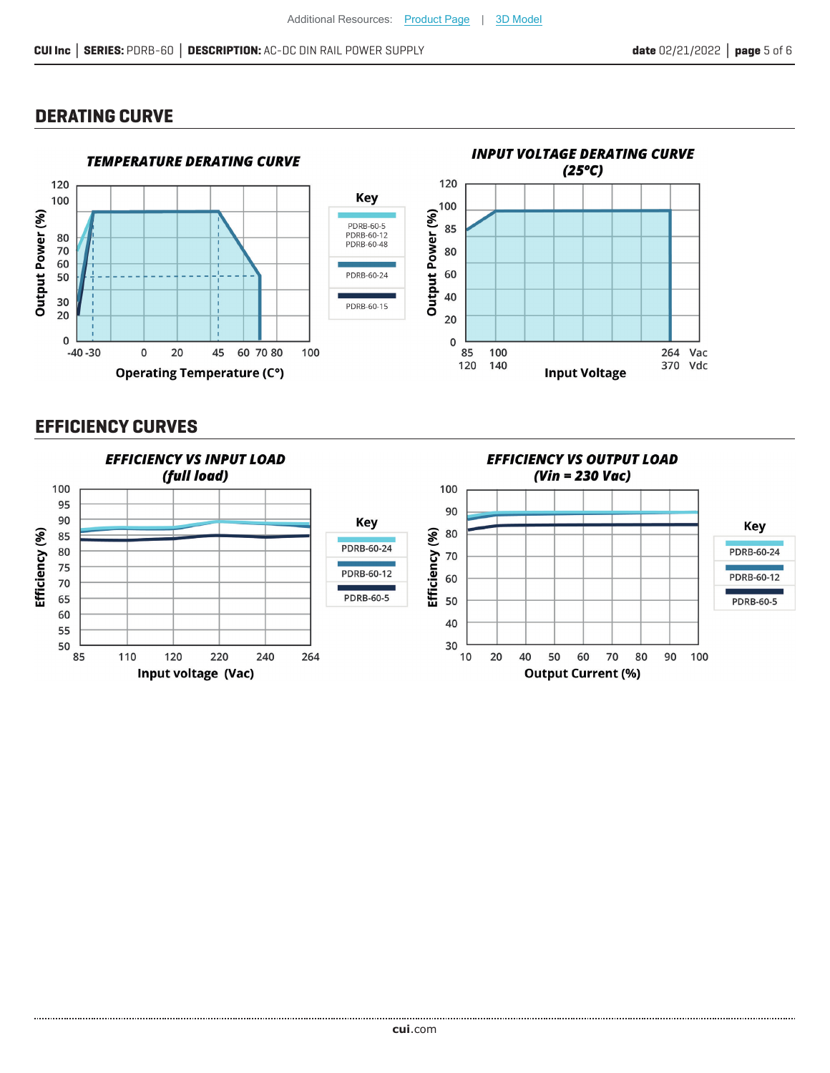### **DERATING CURVE**



### **EFFICIENCY CURVES**